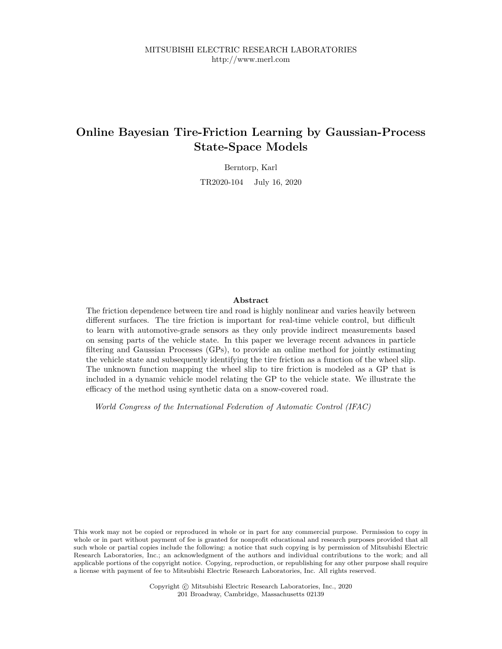# **Online Bayesian Tire-Friction Learning by Gaussian-Process State-Space Models**

Berntorp, Karl

TR2020-104 July 16, 2020

# **Abstract**

The friction dependence between tire and road is highly nonlinear and varies heavily between different surfaces. The tire friction is important for real-time vehicle control, but difficult to learn with automotive-grade sensors as they only provide indirect measurements based on sensing parts of the vehicle state. In this paper we leverage recent advances in particle filtering and Gaussian Processes (GPs), to provide an online method for jointly estimating the vehicle state and subsequently identifying the tire friction as a function of the wheel slip. The unknown function mapping the wheel slip to tire friction is modeled as a GP that is included in a dynamic vehicle model relating the GP to the vehicle state. We illustrate the efficacy of the method using synthetic data on a snow-covered road.

*World Congress of the International Federation of Automatic Control (IFAC)*

This work may not be copied or reproduced in whole or in part for any commercial purpose. Permission to copy in whole or in part without payment of fee is granted for nonprofit educational and research purposes provided that all such whole or partial copies include the following: a notice that such copying is by permission of Mitsubishi Electric Research Laboratories, Inc.; an acknowledgment of the authors and individual contributions to the work; and all applicable portions of the copyright notice. Copying, reproduction, or republishing for any other purpose shall require a license with payment of fee to Mitsubishi Electric Research Laboratories, Inc. All rights reserved.

> Copyright © Mitsubishi Electric Research Laboratories, Inc., 2020 201 Broadway, Cambridge, Massachusetts 02139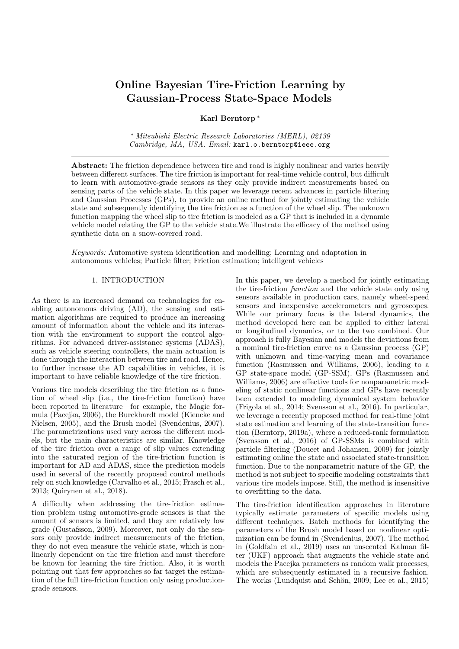# Online Bayesian Tire-Friction Learning by Gaussian-Process State-Space Models

Karl Berntorp <sup>∗</sup>

<sup>∗</sup> Mitsubishi Electric Research Laboratories (MERL), 02139 Cambridge, MA, USA. Email: karl.o.berntorp@ieee.org

Abstract: The friction dependence between tire and road is highly nonlinear and varies heavily between different surfaces. The tire friction is important for real-time vehicle control, but difficult to learn with automotive-grade sensors as they only provide indirect measurements based on sensing parts of the vehicle state. In this paper we leverage recent advances in particle filtering and Gaussian Processes (GPs), to provide an online method for jointly estimating the vehicle state and subsequently identifying the tire friction as a function of the wheel slip. The unknown function mapping the wheel slip to tire friction is modeled as a GP that is included in a dynamic vehicle model relating the GP to the vehicle state.We illustrate the efficacy of the method using synthetic data on a snow-covered road.

Keywords: Automotive system identification and modelling; Learning and adaptation in autonomous vehicles; Particle filter; Friction estimation; intelligent vehicles

# 1. INTRODUCTION

As there is an increased demand on technologies for enabling autonomous driving (AD), the sensing and estimation algorithms are required to produce an increasing amount of information about the vehicle and its interaction with the environment to support the control algorithms. For advanced driver-assistance systems (ADAS), such as vehicle steering controllers, the main actuation is done through the interaction between tire and road. Hence, to further increase the AD capabilities in vehicles, it is important to have reliable knowledge of the tire friction.

Various tire models describing the tire friction as a function of wheel slip (i.e., the tire-friction function) have been reported in literature—for example, the Magic formula (Pacejka, 2006), the Burckhardt model (Kiencke and Nielsen, 2005), and the Brush model (Svendenius, 2007). The parametrizations used vary across the different models, but the main characteristics are similar. Knowledge of the tire friction over a range of slip values extending into the saturated region of the tire-friction function is important for AD and ADAS, since the prediction models used in several of the recently proposed control methods rely on such knowledge (Carvalho et al., 2015; Frasch et al., 2013; Quirynen et al., 2018).

A difficulty when addressing the tire-friction estimation problem using automotive-grade sensors is that the amount of sensors is limited, and they are relatively low grade (Gustafsson, 2009). Moreover, not only do the sensors only provide indirect measurements of the friction, they do not even measure the vehicle state, which is nonlinearly dependent on the tire friction and must therefore be known for learning the tire friction. Also, it is worth pointing out that few approaches so far target the estimation of the full tire-friction function only using productiongrade sensors.

In this paper, we develop a method for jointly estimating the tire-friction function and the vehicle state only using sensors available in production cars, namely wheel-speed sensors and inexpensive accelerometers and gyroscopes. While our primary focus is the lateral dynamics, the method developed here can be applied to either lateral or longitudinal dynamics, or to the two combined. Our approach is fully Bayesian and models the deviations from a nominal tire-friction curve as a Gaussian process (GP) with unknown and time-varying mean and covariance function (Rasmussen and Williams, 2006), leading to a GP state-space model (GP-SSM). GPs (Rasmussen and Williams, 2006) are effective tools for nonparametric modeling of static nonlinear functions and GPs have recently been extended to modeling dynamical system behavior (Frigola et al., 2014; Svensson et al., 2016). In particular, we leverage a recently proposed method for real-time joint state estimation and learning of the state-transition function (Berntorp, 2019a), where a reduced-rank formulation (Svensson et al., 2016) of GP-SSMs is combined with particle filtering (Doucet and Johansen, 2009) for jointly estimating online the state and associated state-transition function. Due to the nonparametric nature of the GP, the method is not subject to specific modeling constraints that various tire models impose. Still, the method is insensitive to overfitting to the data.

The tire-friction identification approaches in literature typically estimate parameters of specific models using different techniques. Batch methods for identifying the parameters of the Brush model based on nonlinear optimization can be found in (Svendenius, 2007). The method in (Goldfain et al., 2019) uses an unscented Kalman filter (UKF) approach that augments the vehicle state and models the Pacejka parameters as random walk processes, which are subsequently estimated in a recursive fashion. The works (Lundquist and Schön, 2009; Lee et al., 2015)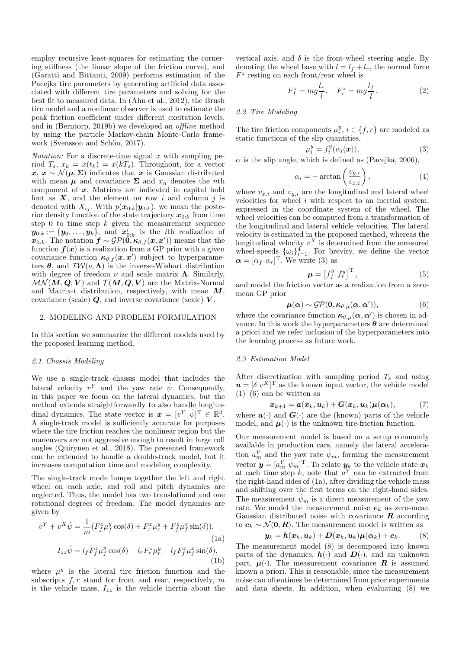employ recursive least-squares for estimating the cornering stiffness (the linear slope of the friction curve), and (Garatti and Bittanti, 2009) performs estimation of the Pacejka tire parameters by generating artificial data associated with different tire parameters and solving for the best fit to measured data. In (Ahn et al., 2012), the Brush tire model and a nonlinear observer is used to estimate the peak friction coefficient under different excitation levels, and in (Berntorp, 2019b) we developed an offline method by using the particle Markov-chain Monte-Carlo framework (Svensson and Schön, 2017).

*Notation:* For a discrete-time signal  $x$  with sampling period  $T_s$ ,  $x_k = x(t_k) = x(kT_s)$ . Throughout, for a vector  $x, x \sim \mathcal{N}(\mu, \Sigma)$  indicates that x is Gaussian distributed with mean  $\mu$  and covariance  $\Sigma$  and  $x_n$  denotes the *n*th component of x. Matrices are indicated in capital bold font as  $X$ , and the element on row i and column j is denoted with  $X_{ij}$ . With  $p(\mathbf{x}_{0:k}|\mathbf{y}_{0:k})$ , we mean the posterior density function of the state trajectory  $x_{0:k}$  from time step 0 to time step  $k$  given the measurement sequence  $y_{0:k} := \{y_0, \ldots, y_k\},\,$  and  $x_{0:k}^i$  is the *i*th realization of  $x_{0:k}$ . The notation  $f \sim \mathcal{GP}(\stackrel{\sim}{0}, \kappa_{\theta, f}(x, x'))$  means that the function  $f(x)$  is a realization from a GP prior with a given covariance function  $\kappa_{\theta,f}(x,x')$  subject to hyperparameters  $\theta$ , and  $\mathcal{IW}(\nu, \Lambda)$  is the inverse-Wishart distribution with degree of freedom  $\nu$  and scale matrix **Λ**. Similarly,  $\mathcal{MN}(M, Q, V)$  and  $\mathcal{T}(M, Q, V)$  are the Matrix-Normal and Matrix-t distribution, respectively, with mean  $M$ , covariance (scale)  $Q$ , and inverse covariance (scale)  $V$ .

### 2. MODELING AND PROBLEM FORMULATION

In this section we summarize the different models used by the proposed learning method.

## 2.1 Chassis Modeling

We use a single-track chassis model that includes the lateral velocity  $v<sup>Y</sup>$  and the yaw rate  $\dot{\psi}$ . Consequently, in this paper we focus on the lateral dynamics, but the method extends straightforwardly to also handle longitudinal dynamics. The state vector is  $\mathbf{x} = [v^Y \ \dot{w}]^T \in \mathbb{R}^2$ . A single-track model is sufficiently accurate for purposes where the tire friction reaches the nonlinear region but the maneuvers are not aggressive enough to result in large roll angles (Quirynen et al., 2018). The presented framework can be extended to handle a double-track model, but it increases computation time and modeling complexity.

The single-track mode lumps together the left and right wheel on each axle, and roll and pitch dynamics are neglected. Thus, the model has two translational and one rotational degrees of freedom. The model dynamics are given by

$$
\dot{v}^Y + v^X \dot{\psi} = \frac{1}{m} (F_f^z \mu_f^y \cos(\delta) + F_r^z \mu_r^y + F_f^z \mu_f^x \sin(\delta)),
$$
\n(1a)\n
$$
I_{zz} \ddot{\psi} = l_f F_f^z \mu_f^y \cos(\delta) - l_r F_r^z \mu_r^y + l_f F_f^z \mu_f^x \sin(\delta),
$$
\n(1b)

where  $\mu^y$  is the lateral tire friction function and the subscripts  $f, r$  stand for front and rear, respectively, m is the vehicle mass,  $I_{zz}$  is the vehicle inertia about the vertical axis, and  $\delta$  is the front-wheel steering angle. By denoting the wheel base with  $l = l_f + l_r$ , the normal force  $F^z$  resting on each front/rear wheel is

$$
F_f^z = mg\frac{l_r}{l}, \quad F_r^z = mg\frac{l_f}{l}.\tag{2}
$$

# 2.2 Tire Modeling

The tire friction components  $\mu_i^y, i \in \{f, r\}$  are modeled as static functions of the slip quantities,

$$
\mu_i^y = f_i^y(\alpha_i(\boldsymbol{x})), \tag{3}
$$

 $\alpha$  is the slip angle, which is defined as (Pacejka, 2006).

$$
\alpha_i = -\arctan\left(\frac{v_{y,i}}{v_{x,i}}\right),\tag{4}
$$

where  $v_{x,i}$  and  $v_{y,i}$  are the longitudinal and lateral wheel velocities for wheel  $i$  with respect to an inertial system, expressed in the coordinate system of the wheel. The wheel velocities can be computed from a transformation of the longitudinal and lateral vehicle velocities. The lateral velocity is estimated in the proposed method, whereas the longitudinal velocity  $v^X$  is determined from the measured wheel-speeds  $\{\omega_i\}_{i=1}^4$ . For brevity, we define the vector  $\boldsymbol{\alpha} = [\alpha_f \ \alpha_r]^{\mathrm{T}}$ . We write (3) as

$$
\boldsymbol{\mu} = \left[f_f^y \ f_r^y\right]^{\mathrm{T}},\tag{5}
$$

and model the friction vector as a realization from a zeromean GP prior

$$
\boldsymbol{\mu}(\boldsymbol{\alpha}) \sim \mathcal{GP}(\mathbf{0}, \boldsymbol{\kappa}_{\theta,\mu}(\boldsymbol{\alpha}, \boldsymbol{\alpha}')), \qquad (6)
$$

where the covariance function  $\kappa_{\theta,\mu}(\alpha,\alpha')$  is chosen in advance. In this work the hyperparameters  $\boldsymbol{\theta}$  are determined a priori and we refer inclusion of the hyperparameters into the learning process as future work.

## 2.3 Estimation Model

After discretization with sampling period  $T_s$  and using  $\mathbf{u} = [\delta v^X]^T$  as the known input vector, the vehicle model  $(1)$ – $(6)$  can be written as

$$
\boldsymbol{x}_{k+1} = \boldsymbol{a}(\boldsymbol{x}_k,\boldsymbol{u}_k) + \boldsymbol{G}(\boldsymbol{x}_k,\boldsymbol{u}_k)\boldsymbol{\mu}(\boldsymbol{\alpha}_k), \qquad \quad (7)
$$

where  $a(\cdot)$  and  $G(\cdot)$  are the (known) parts of the vehicle model, and  $\mu(\cdot)$  is the unknown tire-friction function.

Our measurement model is based on a setup commonly available in production cars, namely the lateral acceleration  $a_m^Y$  and the yaw rate  $\psi_m$ , forming the measurement vector  $\boldsymbol{y} = [a_m^Y \ \dot{\psi}_m]^{\mathrm{T}}$ . To relate  $\boldsymbol{y}_k$  to the vehicle state  $\boldsymbol{x}_k$ at each time step  $k$ , note that  $a<sup>Y</sup>$  can be extracted from the right-hand sides of (1a), after dividing the vehicle mass and shifting over the first terms on the right-hand sides. The measurement  $\psi_m$  is a direct measurement of the yaw rate. We model the measurement noise  $e_k$  as zero-mean Gaussian distributed noise with covariance  $\boldsymbol{R}$  according to  $e_k \sim \mathcal{N}(\mathbf{0}, \mathbf{R})$ . The measurement model is written as

$$
\boldsymbol{y}_k = \boldsymbol{h}(\boldsymbol{x}_k, \boldsymbol{u}_k) + \boldsymbol{D}(\boldsymbol{x}_k, \boldsymbol{u}_k) \boldsymbol{\mu}(\boldsymbol{\alpha}_k) + \boldsymbol{e}_k. \hspace{1cm} (8)
$$

The measurement model (8) is decomposed into known parts of the dynamics,  $h(\cdot)$  and  $D(\cdot)$ , and an unknown part,  $\mu(\cdot)$ . The measurement covariance **R** is assumed known a priori. This is reasonable, since the measurement noise can oftentimes be determined from prior experiments and data sheets. In addition, when evaluating (8) we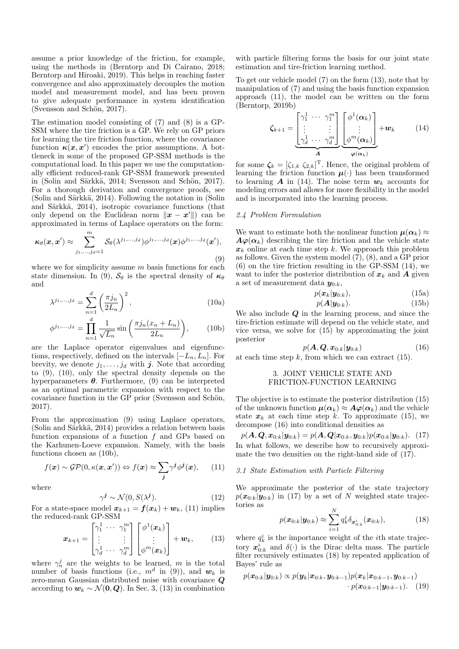assume a prior knowledge of the friction, for example, using the methods in (Berntorp and Di Cairano, 2018; Berntorp and Hiroaki, 2019). This helps in reaching faster convergence and also approximately decouples the motion model and measurement model, and has been proven to give adequate performance in system identification (Svensson and Schön, 2017).

The estimation model consisting of (7) and (8) is a GP-SSM where the tire friction is a GP. We rely on GP priors for learning the tire friction function, where the covariance function  $\kappa(x, x')$  encodes the prior assumptions. A bottleneck in some of the proposed GP-SSM methods is the computational load. In this paper we use the computationally efficient reduced-rank GP-SSM framework presented in (Solin and Särkkä, 2014; Svensson and Schön, 2017). For a thorough derivation and convergence proofs, see  $(Solin and Särkkä, 2014)$ . Following the notation in  $(Solin)$ and Särkkä, 2014), isotropic covariance functions (that only depend on the Euclidean norm  $\|\boldsymbol{x} - \boldsymbol{x}'\|$  can be approximated in terms of Laplace operators on the form:

$$
\kappa_{\theta}(\boldsymbol{x}, \boldsymbol{x}') \approx \sum_{j_1, \dots, j_d=1}^m \mathcal{S}_{\theta}(\lambda^{j_1, \dots, j_d}) \phi^{j_1, \dots, j_d}(\boldsymbol{x}) \phi^{j_1, \dots, j_d}(\boldsymbol{x}'),
$$
\n(9)

where we for simplicity assume  $m$  basis functions for each state dimension. In (9),  $S_{\theta}$  is the spectral density of  $\kappa_{\theta}$ and

$$
\lambda^{j_1,\dots,j_d} = \sum_{n=1}^d \left(\frac{\pi j_n}{2L_n}\right)^2,\tag{10a}
$$

$$
\phi^{j_1,\dots,j_d} = \prod_{n=1}^d \frac{1}{\sqrt{L_n}} \sin\left(\frac{\pi j_n(x_n + L_n)}{2L_n}\right),\tag{10b}
$$

are the Laplace operator eigenvalues and eigenfunctions, respectively, defined on the intervals  $[-L_n, L_n]$ . For brevity, we denote  $j_1, \ldots, j_d$  with j. Note that according to (9), (10), only the spectral density depends on the hyperparameters  $\theta$ . Furthermore, (9) can be interpreted as an optimal parametric expansion with respect to the covariance function in the GP prior (Svensson and Schön, 2017).

From the approximation (9) using Laplace operators,  $(Solin and Särkkä, 2014)$  provides a relation between basis function expansions of a function  $f$  and GPs based on the Karhunen-Loeve expansion. Namely, with the basis functions chosen as  $(10b)$ .

$$
f(\mathbf{x}) \sim \mathcal{GP}(0, \kappa(\mathbf{x}, \mathbf{x}')) \Leftrightarrow f(\mathbf{x}) \approx \sum_{\mathbf{j}} \gamma^{\mathbf{j}} \phi^{\mathbf{j}}(\mathbf{x}), \qquad (11)
$$

where

$$
\gamma^j \sim \mathcal{N}(0, S(\lambda^j)).\tag{12}
$$

For a state-space model  $x_{k+1} = f(x_k) + w_k$ , (11) implies the reduced-rank GP-SSM

$$
\boldsymbol{x}_{k+1} = \begin{bmatrix} \gamma_1^1 & \cdots & \gamma_1^m \\ \vdots & & \vdots \\ \gamma_d^1 & \cdots & \gamma_d^m \end{bmatrix} \begin{bmatrix} \phi^1(\boldsymbol{x}_k) \\ \vdots \\ \phi^m(\boldsymbol{x}_k) \end{bmatrix} + \boldsymbol{w}_k, \qquad (13)
$$

where  $\gamma_n^j$  are the weights to be learned, m is the total number of basis functions (i.e.,  $m^d$  in (9)), and  $w_k$  is zero-mean Gaussian distributed noise with covariance Q according to  $w_k \sim \mathcal{N}(\mathbf{0}, \mathbf{Q})$ . In Sec. 3, (13) in combination with particle filtering forms the basis for our joint state estimation and tire-friction learning method.

To get our vehicle model (7) on the form (13), note that by manipulation of (7) and using the basis function expansion approach (11), the model can be written on the form (Berntorp, 2019b)

$$
\zeta_{k+1} = \underbrace{\begin{bmatrix} \gamma_1^1 & \cdots & \gamma_1^m \\ \vdots & & \vdots \\ \gamma_d^1 & \cdots & \gamma_d^m \end{bmatrix}}_{\mathbf{A}} \underbrace{\begin{bmatrix} \phi^1(\boldsymbol{\alpha}_k) \\ \vdots \\ \phi^m(\boldsymbol{\alpha}_k) \end{bmatrix}}_{\boldsymbol{\varphi}(\boldsymbol{\alpha}_k)} + \boldsymbol{w}_k \qquad (14)
$$

for some  $\zeta_k = [\zeta_{1,k} \ \zeta_{2,k}]^{\mathrm{T}}$ . Hence, the original problem of learning the friction function  $\mu(\cdot)$  has been transformed to learning **A** in (14). The noise term  $w_k$  accounts for modeling errors and allows for more flexibility in the model and is incorporated into the learning process.

# 2.4 Problem Formulation

We want to estimate both the nonlinear function  $\mu(\alpha_k) \approx$  $A\varphi(\alpha_k)$  describing the tire friction and the vehicle state  $x_k$  online at each time step k. We approach this problem as follows. Given the system model (7), (8), and a GP prior (6) on the tire friction resulting in the GP-SSM (14), we want to infer the posterior distribution of  $x_k$  and **A** given a set of measurement data  $y_{0:k}$ ,

$$
p(\boldsymbol{x}_k|\boldsymbol{y}_{0:k}),\tag{15a}
$$

$$
p(\mathbf{A}|\mathbf{y}_{0:k}). \tag{15b}
$$

We also include  $Q$  in the learning process, and since the tire-friction estimate will depend on the vehicle state, and vice versa, we solve for (15) by approximating the joint posterior

$$
p(\mathbf{A}, \mathbf{Q}, \mathbf{x}_{0:k} | \mathbf{y}_{0:k}) \tag{16}
$$

at each time step  $k$ , from which we can extract (15).

# 3. JOINT VEHICLE STATE AND FRICTION-FUNCTION LEARNING

The objective is to estimate the posterior distribution (15) of the unknown function  $\mu(\alpha_k) \approx A\varphi(\alpha_k)$  and the vehicle state  $x_k$  at each time step k. To approximate (15), we decompose (16) into conditional densities as

 $p(A, \mathbf{Q}, \mathbf{x}_{0:k} | \mathbf{y}_{0:k}) = p(A, \mathbf{Q} | \mathbf{x}_{0:k}, \mathbf{y}_{0:k}) p(\mathbf{x}_{0:k} | \mathbf{y}_{0:k}).$  (17) In what follows, we describe how to recursively approximate the two densities on the right-hand side of (17).

# 3.1 State Estimation with Particle Filtering

We approximate the posterior of the state trajectory  $p(\mathbf{x}_{0:k}|\mathbf{y}_{0:k})$  in (17) by a set of N weighted state trajectories as

$$
p(\bm{x}_{0:k}|\bm{y}_{0:k}) \approx \sum_{i=1}^{N} q_k^i \delta_{\bm{x}_{0:k}^i}(\bm{x}_{0:k}),
$$
 (18)

where  $q_k^i$  is the importance weight of the *i*<sup>th</sup> state trajectory  $x_{0:k}^i$  and  $\delta(\cdot)$  is the Dirac delta mass. The particle filter recursively estimates (18) by repeated application of Bayes' rule as

$$
p(\boldsymbol{x}_{0:k}|\boldsymbol{y}_{0:k}) \propto p(\boldsymbol{y}_k|\boldsymbol{x}_{0:k},\boldsymbol{y}_{0:k-1})p(\boldsymbol{x}_k|\boldsymbol{x}_{0:k-1},\boldsymbol{y}_{0:k-1})\\ \cdot p(\boldsymbol{x}_{0:k-1}|\boldsymbol{y}_{0:k-1}).
$$
 (19)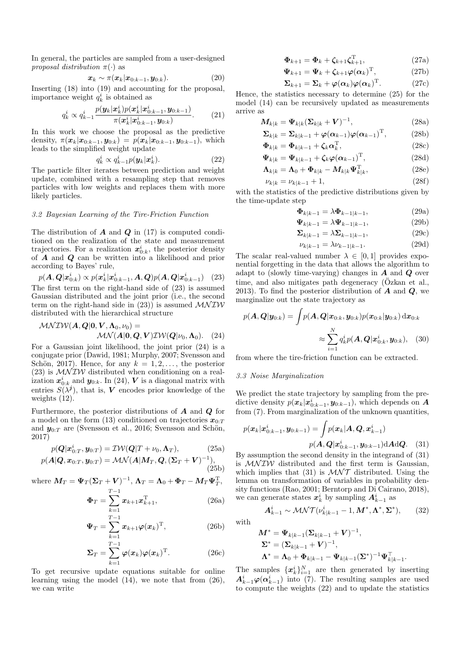In general, the particles are sampled from a user-designed proposal distribution  $\pi(\cdot)$  as

$$
\boldsymbol{x}_k \sim \pi(\boldsymbol{x}_k | \boldsymbol{x}_{0:k-1}, \boldsymbol{y}_{0:k}). \tag{20}
$$

Inserting (18) into (19) and accounting for the proposal, importance weight  $q_k^i$  is obtained as

$$
q_k^i \propto q_{k-1}^i \frac{p(\mathbf{y}_k|\mathbf{x}_k^i)p(\mathbf{x}_k^i|\mathbf{x}_{0:k-1}^i,\mathbf{y}_{0:k-1})}{\pi(\mathbf{x}_k^i|\mathbf{x}_{0:k-1}^i,\mathbf{y}_{0:k})}.
$$
 (21)

In this work we choose the proposal as the predictive density,  $\pi(\mathbf{x}_k|\mathbf{x}_{0:k-1}, \mathbf{y}_{0:k}) = p(\mathbf{x}_k|\mathbf{x}_{0:k-1}, \mathbf{y}_{0:k-1}),$  which leads to the simplified weight update

$$
q_k^i \propto q_{k-1}^i p(\boldsymbol{y}_k | \boldsymbol{x}_k^i). \tag{22}
$$

The particle filter iterates between prediction and weight update, combined with a resampling step that removes particles with low weights and replaces them with more likely particles.

# 3.2 Bayesian Learning of the Tire-Friction Function

The distribution of  $\bf{A}$  and  $\bf{Q}$  in (17) is computed conditioned on the realization of the state and measurement trajectories. For a realization  $x_{0:k}^i$ , the posterior density of A and Q can be written into a likelihood and prior according to Bayes' rule,

$$
p(\mathbf{A}, \mathbf{Q} | \mathbf{x}_{0:k}^i) \propto p(\mathbf{x}_k^i | \mathbf{x}_{0:k-1}^i, \mathbf{A}, \mathbf{Q}) p(\mathbf{A}, \mathbf{Q} | \mathbf{x}_{0:k-1}^i) \quad (23)
$$

The first term on the right-hand side of (23) is assumed Gaussian distributed and the joint prior (i.e., the second term on the right-hand side in  $(23)$  is assumed  $\mathcal{M} \mathcal{I} \mathcal{W}$ distributed with the hierarchical structure

$$
\begin{aligned} \mathcal{M}\mathcal{N}\mathcal{IW}(\boldsymbol{A},\boldsymbol{Q}|\boldsymbol{0},\boldsymbol{V},\boldsymbol{\Lambda}_{0},\nu_{0}) &= \\ \mathcal{M}\mathcal{N}(\boldsymbol{A}|\boldsymbol{0},\boldsymbol{Q},\boldsymbol{V})\mathcal{IW}(\boldsymbol{Q}|\nu_{0},\boldsymbol{\Lambda}_{0}). \end{aligned} \tag{24}
$$

For a Gaussian joint likelihood, the joint prior (24) is a conjugate prior (Dawid, 1981; Murphy, 2007; Svensson and Schön, 2017). Hence, for any  $k = 1, 2, \ldots$ , the posterior (23) is  $\mathcal{M}\mathcal{N} \mathcal{I} \mathcal{W}$  distributed when conditioning on a realization  $x_{0:k}^i$  and  $y_{0:k}$ . In (24), V is a diagonal matrix with entries  $S(\lambda^j)$ , that is, V encodes prior knowledge of the weights (12).

Furthermore, the posterior distributions of  $\boldsymbol{A}$  and  $\boldsymbol{Q}$  for a model on the form (13) conditioned on trajectories  $x_0$ . and  $y_{0:T}$  are (Svensson et al., 2016; Svensson and Schön, 2017)

$$
p(\mathbf{Q}|\mathbf{x}_{0:T}^i, \mathbf{y}_{0:T}) = \mathcal{IW}(\mathbf{Q}|T + \nu_0, \mathbf{\Lambda}_T), \tag{25a}
$$

$$
p(\boldsymbol{A}|\boldsymbol{Q},\boldsymbol{x}_{0:T},\boldsymbol{y}_{0:T})=\mathcal{MN}(\boldsymbol{A}|\boldsymbol{M}_T,\boldsymbol{Q},(\boldsymbol{\Sigma}_T+\boldsymbol{V})^{-1}),
$$
\n(25b)

where  $\boldsymbol{M}_T = \boldsymbol{\Psi}_T(\boldsymbol{\Sigma}_T + \boldsymbol{V})^{-1}, \boldsymbol{\Lambda}_T = \boldsymbol{\Lambda}_0 + \boldsymbol{\Phi}_T - \boldsymbol{M}_T \boldsymbol{\Psi}_T^{\mathrm{T}},$ 

$$
\Phi_T = \sum_{k=1}^{T-1} x_{k+1} x_{k+1}^T,
$$
\n(26a)

$$
\Psi_T = \sum_{k=1}^{T-1} x_{k+1} \varphi(x_k)^{\mathrm{T}}, \qquad (26b)
$$

$$
\Sigma_T = \sum_{k=1}^{T-1} \varphi(x_k) \varphi(x_k)^{\mathrm{T}}.
$$
 (26c)

To get recursive update equations suitable for online learning using the model (14), we note that from (26), we can write

$$
\mathbf{\Phi}_{k+1} = \mathbf{\Phi}_k + \zeta_{k+1} \zeta_{k+1}^{\mathrm{T}}, \tag{27a}
$$

$$
\mathbf{\Psi}_{k+1} = \mathbf{\Psi}_k + \zeta_{k+1} \boldsymbol{\varphi}(\boldsymbol{\alpha}_k)^{\mathrm{T}}, \qquad (27b)
$$

$$
\Sigma_{k+1} = \Sigma_k + \varphi(\alpha_k)\varphi(\alpha_k)^{\mathrm{T}}.
$$
 (27c)

Hence, the statistics necessary to determine (25) for the model (14) can be recursively updated as measurements arrive as

$$
\mathbf{M}_{k|k} = \mathbf{\Psi}_{k|k} (\mathbf{\Sigma}_{k|k} + \mathbf{V})^{-1}, \tag{28a}
$$

$$
\Sigma_{k|k} = \Sigma_{k|k-1} + \varphi(\alpha_{k-1})\varphi(\alpha_{k-1})^{\mathrm{T}},
$$
 (28b)

$$
\mathbf{\Phi}_{k|k} = \mathbf{\Phi}_{k|k-1} + \zeta_k \mathbf{\alpha}_k^{\mathrm{T}},\tag{28c}
$$

$$
\mathbf{\Psi}_{k|k} = \mathbf{\Psi}_{k|k-1} + \zeta_k \boldsymbol{\varphi}(\boldsymbol{\alpha}_{k-1})^{\mathrm{T}},
$$
\n(28d)

$$
\mathbf{\Lambda}_{k|k} = \mathbf{\Lambda}_0 + \mathbf{\Phi}_{k|k} - \mathbf{M}_{k|k} \mathbf{\Psi}_{k|k}^{\mathrm{T}},
$$
\n(28e)

$$
\nu_{k|k} = \nu_{k|k-1} + 1,\tag{28f}
$$

with the statistics of the predictive distributions given by the time-update step

$$
\mathbf{\Phi}_{k|k-1} = \lambda \mathbf{\Phi}_{k-1|k-1},\tag{29a}
$$

$$
\Psi_{k|k-1} = \lambda \Psi_{k-1|k-1},\tag{29b}
$$

$$
\Sigma_{k|k-1} = \lambda \Sigma_{k-1|k-1},\tag{29c}
$$

$$
\nu_{k|k-1} = \lambda \nu_{k-1|k-1}.\tag{29d}
$$

The scalar real-valued number  $\lambda \in [0,1]$  provides exponential forgetting in the data that allows the algorithm to adapt to (slowly time-varying) changes in  $A$  and  $Q$  over time, and also mitigates path degeneracy ( $\ddot{O}$ zkan et al., 2013). To find the posterior distribution of  $\vec{A}$  and  $\vec{Q}$ , we marginalize out the state trajectory as

$$
p(\mathbf{A}, \mathbf{Q} | \mathbf{y}_{0:k}) = \int p(\mathbf{A}, \mathbf{Q} | \mathbf{x}_{0:k}, \mathbf{y}_{0:k}) p(\mathbf{x}_{0:k} | \mathbf{y}_{0:k}) \, \mathrm{d}\mathbf{x}_{0:k}
$$

$$
\approx \sum_{i=1}^{N} q_k^i p(\mathbf{A}, \mathbf{Q} | \mathbf{x}_{0:k}^i, \mathbf{y}_{0:k}), \quad (30)
$$

from where the tire-friction function can be extracted.

# 3.3 Noise Marginalization

We predict the state trajectory by sampling from the predictive density  $p(\mathbf{x}_k|\mathbf{x}_{0:k-1}^i,\mathbf{y}_{0:k-1})$ , which depends on **A** from (7). From marginalization of the unknown quantities,

$$
p(\mathbf{x}_k|\mathbf{x}_{0:k-1}^i,\mathbf{y}_{0:k-1}) = \int p(\mathbf{x}_k|\mathbf{A},\mathbf{Q},\mathbf{x}_{k-1}^i)
$$

$$
p(\mathbf{A},\mathbf{Q}|\mathbf{x}_{0:k-1}^i,\mathbf{y}_{0:k-1}) \, d\mathbf{A} d\mathbf{Q}.
$$
 (31)

By assumption the second density in the integrand of (31) is  $M\mathcal{N} \mathcal{IW}$  distributed and the first term is Gaussian, which implies that (31) is  $\mathcal{M} \mathcal{N} \mathcal{T}$  distributed. Using the lemma on transformation of variables in probability density functions (Rao, 2001; Berntorp and Di Cairano, 2018), we can generate states  $x_k^i$  by sampling  $A_{k-1}^i$  as

 $\boldsymbol{A}_{k-1}^i \sim \mathcal{M} \mathcal{N} \mathcal{T}(\nu_{k|k-1}^i-1, \boldsymbol{M}^*, \boldsymbol{\Lambda}^*, \boldsymbol{\Sigma}^*$ 

with

$$
\begin{aligned} \mathbf{M}^* &= \mathbf{\Psi}_{k|k-1} (\mathbf{\Sigma}_{k|k-1} + \mathbf{V})^{-1}, \\ \mathbf{\Sigma}^* &= (\mathbf{\Sigma}_{k|k-1} + \mathbf{V})^{-1}, \\ \mathbf{\Lambda}^* &= \mathbf{\Lambda}_0 + \mathbf{\Phi}_{k|k-1} - \mathbf{\Psi}_{k|k-1} (\mathbf{\Sigma}^*)^{-1} \mathbf{\Psi}_{k|k-1}^\top. \end{aligned}
$$

 $(32)$ 

The samples  ${x_k^i}_{i=1}^N$  are then generated by inserting  $A_{k-1}^{i}\varphi(\alpha_{k-1}^{i})$  into (7). The resulting samples are used to compute the weights (22) and to update the statistics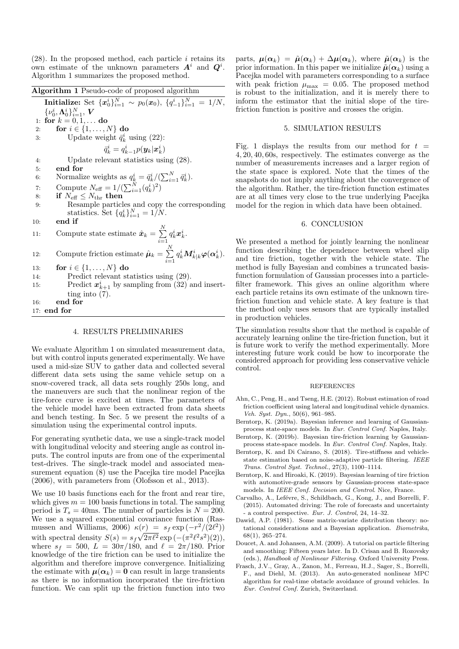$(28)$ . In the proposed method, each particle *i* retains its own estimate of the unknown parameters  $A^i$  and  $Q^i$ . Algorithm 1 summarizes the proposed method.

| <b>Algorithm 1</b> Pseudo-code of proposed algorithm                                                                                                    | is                   |
|---------------------------------------------------------------------------------------------------------------------------------------------------------|----------------------|
| Initialize: Set $\{x_0^i\}_{i=1}^N \sim p_0(x_0), \{q_{-1}^i\}_{i=1}^N = 1/N$ ,                                                                         | $\inf$               |
| $\{\nu_0^i,\mathbf{\Lambda}_0^i\}_{i=1}^N$ , $\boldsymbol{V}$                                                                                           | fri                  |
| for $k = 0, 1, $ do<br>1:                                                                                                                               |                      |
| for $i \in \{1, \ldots, N\}$ do<br>2:                                                                                                                   |                      |
| Update weight $\bar{q}_k^i$ using (22):<br>3:                                                                                                           |                      |
| $\bar{q}_k^i = q_{k-1}^i p(\boldsymbol{y}_k   \boldsymbol{x}_k^i)$                                                                                      | Fig<br>4, ?          |
| Update relevant statistics using $(28)$ .<br>4:                                                                                                         | nu                   |
| end for<br>5:                                                                                                                                           | $_{\rm the}$         |
| Normalize weights as $q_k^i = \bar{q}_k^i / (\sum_{i=1}^N \bar{q}_k^i)$ .<br>6:                                                                         | sna                  |
| Compute $N_{\text{eff}} = 1/(\sum_{i=1}^{N} (q_k^i)^2)$<br>7:                                                                                           | $_{\rm the}$         |
| if $N_{\text{eff}} \leq N_{\text{thr}}$ then<br>8:                                                                                                      | are                  |
| Resample particles and copy the corresponding<br>9:                                                                                                     | mc                   |
| statistics. Set $\{q_k^i\}_{i=1}^N = 1/N$ .                                                                                                             |                      |
| end if<br>10:                                                                                                                                           |                      |
| Compute state estimate $\hat{x}_k = \sum_{i=1}^N q_k^i x_k^i$ .<br>11:                                                                                  | W                    |
| Compute friction estimate $\hat{\boldsymbol{\mu}}_k = \sum_{i=1}^N q_k^i \boldsymbol{M}_{k k}^i \boldsymbol{\varphi}(\boldsymbol{\alpha}_k^i)$ .<br>12: | fur                  |
| for $i \in \{1, \ldots, N\}$ do<br>13:                                                                                                                  | an<br>m <sub>f</sub> |
| Predict relevant statistics using $(29)$ .<br>14:                                                                                                       | fur                  |
| Predict $x_{k+1}^i$ by sampling from (32) and insert-<br>15:                                                                                            | filt                 |
| ting into $(7)$ .                                                                                                                                       | ea                   |
| end for<br>16:                                                                                                                                          | fri                  |
| $17:$ end for                                                                                                                                           | $_{\rm the}$         |

#### 4. RESULTS PRELIMINARIES

We evaluate Algorithm 1 on simulated measurement data, but with control inputs generated experimentally. We have used a mid-size SUV to gather data and collected several different data sets using the same vehicle setup on a snow-covered track, all data sets roughly 250s long, and the maneuvers are such that the nonlinear region of the tire-force curve is excited at times. The parameters of the vehicle model have been extracted from data sheets and bench testing. In Sec. 5 we present the results of a simulation using the experimental control inputs.

For generating synthetic data, we use a single-track model with longitudinal velocity and steering angle as control inputs. The control inputs are from one of the experimental test-drives. The single-track model and associated measurement equation (8) use the Pacejka tire model Pacejka (2006), with parameters from (Olofsson et al., 2013).

We use 10 basis functions each for the front and rear tire, which gives  $m = 100$  basis functions in total. The sampling period is  $T_s = 40$ ms. The number of particles is  $N = 200$ . We use a squared exponential covariance function (Rasmussen and Williams, 2006)  $\kappa(r) = s_f \exp(-r^2/(2\ell^2))$ with spectral density  $S(s) = s_f \sqrt{2\pi \ell^2} \exp(-(\pi^2 \ell^2 s^2)(2)),$ where  $s_f = 500$ ,  $\vec{L} = 30\pi/180$ , and  $\ell = 2\pi/180$ . Prior knowledge of the tire friction can be used to initialize the algorithm and therefore improve convergence. Initializing the estimate with  $\mu(\alpha_k) = 0$  can result in large transients as there is no information incorporated the tire-friction function. We can split up the friction function into two parts,  $\mu(\alpha_k) = \tilde{\mu}(\alpha_k) + \Delta \mu(\alpha_k)$ , where  $\tilde{\mu}(\alpha_k)$  is the prior information. In this paper we initialize  $\tilde{\mu}(\alpha_k)$  using a Pacejka model with parameters corresponding to a surface with peak friction  $\mu_{\text{max}} = 0.05$ . The proposed method robust to the initialization, and it is merely there to form the estimator that the initial slope of the tirection function is positive and crosses the origin.

### 5. SIMULATION RESULTS

g. 1 displays the results from our method for  $t =$ 4, 20, 40, 60s, respectively. The estimates converge as the mber of measurements increases and a larger region of e state space is explored. Note that the times of the apshots do not imply anything about the convergence of the algorithm. Rather, the tire-friction function estimates e at all times very close to the true underlying Pacejka odel for the region in which data have been obtained.

# 6. CONCLUSION

e presented a method for jointly learning the nonlinear nction describing the dependence between wheel slip d tire friction, together with the vehicle state. The ethod is fully Bayesian and combines a truncated basisfunction formulation of Gaussian processes into a particleframework. This gives an online algorithm where ch particle retains its own estimate of the unknown tirection function and vehicle state. A key feature is that the method only uses sensors that are typically installed in production vehicles.

The simulation results show that the method is capable of accurately learning online the tire-friction function, but it is future work to verify the method experimentally. More interesting future work could be how to incorporate the considered approach for providing less conservative vehicle control.

#### REFERENCES

- Ahn, C., Peng, H., and Tseng, H.E. (2012). Robust estimation of road friction coefficient using lateral and longitudinal vehicle dynamics. Veh. Syst. Dyn., 50(6), 961–985.
- Berntorp, K. (2019a). Bayesian inference and learning of Gaussianprocess state-space models. In Eur. Control Conf. Naples, Italy.
- Berntorp, K. (2019b). Bayesian tire-friction learning by Gaussianprocess state-space models. In Eur. Control Conf. Naples, Italy.
- Berntorp, K. and Di Cairano, S. (2018). Tire-stiffness and vehiclestate estimation based on noise-adaptive particle filtering. IEEE Trans. Control Syst. Technol., 27(3), 1100–1114.
- Berntorp, K. and Hiroaki, K. (2019). Bayesian learning of tire friction with automotive-grade sensors by Gaussian-process state-space models. In IEEE Conf. Decision and Control. Nice, France.
- Carvalho, A., Lefévre, S., Schildbach, G., Kong, J., and Borrelli, F. (2015). Automated driving: The role of forecasts and uncertainty - a control perspective. Eur. J. Control, 24, 14–32.
- Dawid, A.P. (1981). Some matrix-variate distribution theory: notational considerations and a Bayesian application. Biometrika, 68(1), 265–274.
- Doucet, A. and Johansen, A.M. (2009). A tutorial on particle filtering and smoothing: Fifteen years later. In D. Crisan and B. Rozovsky (eds.), Handbook of Nonlinear Filtering. Oxford University Press.
- Frasch, J.V., Gray, A., Zanon, M., Ferreau, H.J., Sager, S., Borrelli, F., and Diehl, M. (2013). An auto-generated nonlinear MPC algorithm for real-time obstacle avoidance of ground vehicles. In Eur. Control Conf. Zurich, Switzerland.